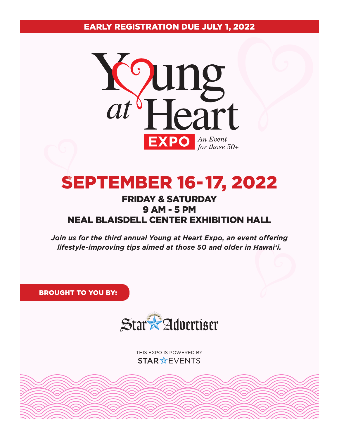EARlY REgiStRAtioN duE JulY 1, 2022



# SEPtEMBER 16-17, 2022

# fRidAY & SAtuRdAY 9 AM - 5 PM NEAl BlAiSdEll cENtER ExHiBitioN HAll

*Join us for the third annual Young at Heart Expo, an event offering lifestyle-improving tips aimed at those 50 and older in Hawai'i.*

BRougHt to You BY:



thiS exPo iS Powered By STAR \*EVENTS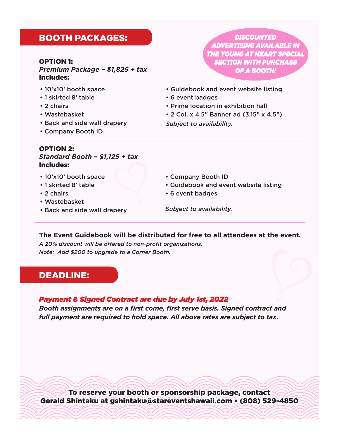## BootH PAckAgES:

#### oPtioN 1:

*Premium Package – \$1,825 + tax* includes:

- 10'x10' booth space
- 1 skirted 8' table
- 2 chairs
- Wastebasket
- Back and side wall drapery
- Company Booth ID

#### oPtioN 2:

### *Standard Booth – \$1,125 + tax* includes:

- 10'x10' booth space
- 1 skirted 8' table
- 2 chairs
- Wastebasket
- Back and side wall drapery

*DISCOUNTED ADVERTISING AVAILABLE IN THE YOUNG AT HEART SPECIAL SECTION WITH PURCHASE OF A BOOTH!*

- Guidebook and event website listing
- 6 event badges
- Prime location in exhibition hall
- 2 Col. x 4.5" Banner ad (3.15" x 4.5") *Subject to availability.*

- Company Booth ID
- Guidebook and event website listing
- 6 event badges

*Subject to availability.*

#### **The Event Guidebook will be distributed for free to all attendees at the event.**

A 20% discount will be offered to non-profit organizations. *Note: Add \$200 to upgrade to a Corner Booth.*

## dEAdliNE:

#### *Payment & Signed Contract are due by July 1st, 2022*

**Booth assignments are on a first come, first serve basis. Signed contract and** *full payment are required to hold space. All above rates are subject to tax.* 

To reserve your booth or sponsorship package, contact gerald Shintaku at gshintaku@stareventshawaii.com • (808) 529-4850